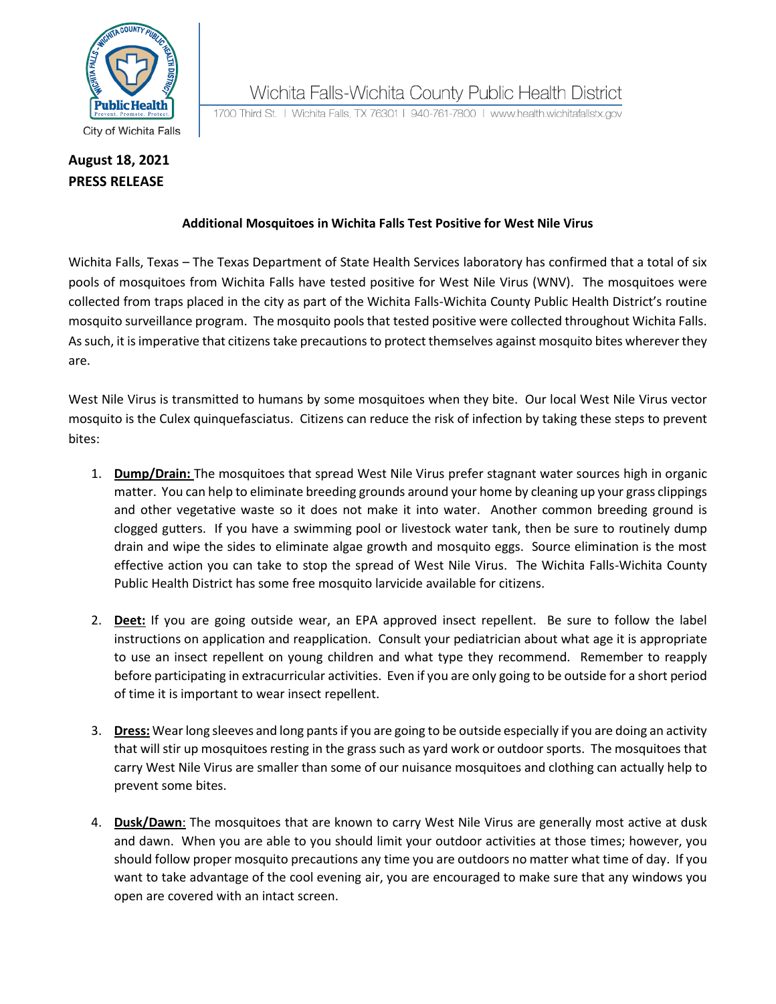

City of Wichita Falls

## **August 18, 2021 PRESS RELEASE**

Wichita Falls-Wichita County Public Health District

1700 Third St. | Wichita Falls, TX 76301 | 940-761-7800 | www.health.wichitafallstx.gov

## **Additional Mosquitoes in Wichita Falls Test Positive for West Nile Virus**

Wichita Falls, Texas – The Texas Department of State Health Services laboratory has confirmed that a total of six pools of mosquitoes from Wichita Falls have tested positive for West Nile Virus (WNV). The mosquitoes were collected from traps placed in the city as part of the Wichita Falls-Wichita County Public Health District's routine mosquito surveillance program. The mosquito pools that tested positive were collected throughout Wichita Falls. As such, it is imperative that citizens take precautions to protect themselves against mosquito bites wherever they are.

West Nile Virus is transmitted to humans by some mosquitoes when they bite. Our local West Nile Virus vector mosquito is the Culex quinquefasciatus. Citizens can reduce the risk of infection by taking these steps to prevent bites:

- 1. **Dump/Drain:** The mosquitoes that spread West Nile Virus prefer stagnant water sources high in organic matter. You can help to eliminate breeding grounds around your home by cleaning up your grass clippings and other vegetative waste so it does not make it into water. Another common breeding ground is clogged gutters. If you have a swimming pool or livestock water tank, then be sure to routinely dump drain and wipe the sides to eliminate algae growth and mosquito eggs. Source elimination is the most effective action you can take to stop the spread of West Nile Virus. The Wichita Falls-Wichita County Public Health District has some free mosquito larvicide available for citizens.
- 2. **Deet:** If you are going outside wear, an EPA approved insect repellent. Be sure to follow the label instructions on application and reapplication. Consult your pediatrician about what age it is appropriate to use an insect repellent on young children and what type they recommend. Remember to reapply before participating in extracurricular activities. Even if you are only going to be outside for a short period of time it is important to wear insect repellent.
- 3. **Dress:** Wear long sleeves and long pants if you are going to be outside especially if you are doing an activity that will stir up mosquitoes resting in the grass such as yard work or outdoor sports. The mosquitoes that carry West Nile Virus are smaller than some of our nuisance mosquitoes and clothing can actually help to prevent some bites.
- 4. **Dusk/Dawn**: The mosquitoes that are known to carry West Nile Virus are generally most active at dusk and dawn. When you are able to you should limit your outdoor activities at those times; however, you should follow proper mosquito precautions any time you are outdoors no matter what time of day. If you want to take advantage of the cool evening air, you are encouraged to make sure that any windows you open are covered with an intact screen.